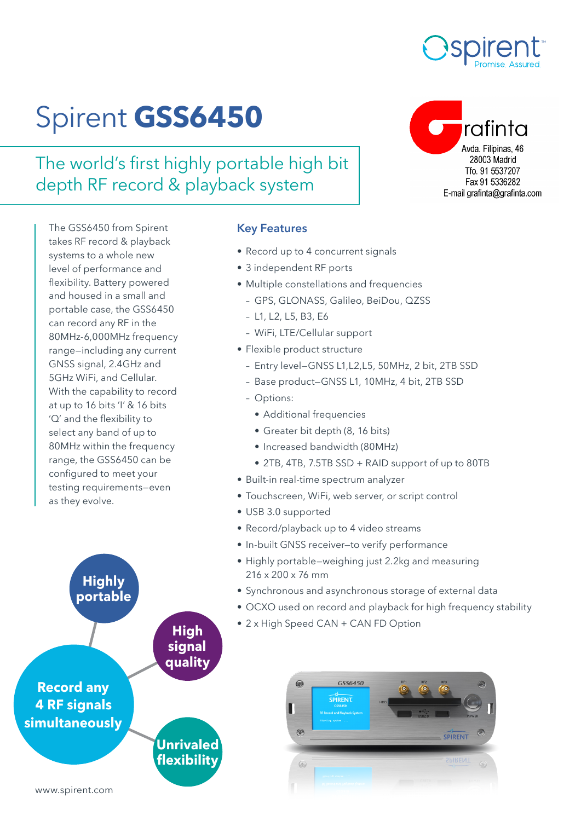

rafinta

Avda, Filipinas, 46 28003 Madrid Tfo. 91 5537207 Fax 91 5336282 E-mail grafinta@grafinta.com

# Spirent **GSS6450**

The world's first highly portable high bit depth RF record & playback system

The GSS6450 from Spirent takes RF record & playback systems to a whole new level of performance and flexibility. Battery powered and housed in a small and portable case, the GSS6450 can record any RF in the 80MHz-6,000MHz frequency range—including any current GNSS signal, 2.4GHz and 5GHz WiFi, and Cellular. With the capability to record at up to 16 bits 'I' & 16 bits 'Q' and the flexibility to select any band of up to 80MHz within the frequency range, the GSS6450 can be configured to meet your testing requirements—even as they evolve.

#### Key Features

- Record up to 4 concurrent signals
- 3 independent RF ports
- Multiple constellations and frequencies
	- GPS, GLONASS, Galileo, BeiDou, QZSS
	- L1, L2, L5, B3, E6
	- WiFi, LTE/Cellular support
- Flexible product structure
	- Entry level—GNSS L1,L2,L5, 50MHz, 2 bit, 2TB SSD
	- Base product—GNSS L1, 10MHz, 4 bit, 2TB SSD
	- Options:
		- Additional frequencies
		- Greater bit depth (8, 16 bits)
		- Increased bandwidth (80MHz)
		- 2TB, 4TB, 7.5TB SSD + RAID support of up to 80TB
- Built-in real-time spectrum analyzer
- Touchscreen, WiFi, web server, or script control
- USB 3.0 supported
- Record/playback up to 4 video streams
- In-built GNSS receiver—to verify performance
- Highly portable—weighing just 2.2kg and measuring 216 x 200 x 76 mm
- Synchronous and asynchronous storage of external data
- OCXO used on record and playback for high frequency stability
- 2 x High Speed CAN + CAN FD Option



**Highly portable**